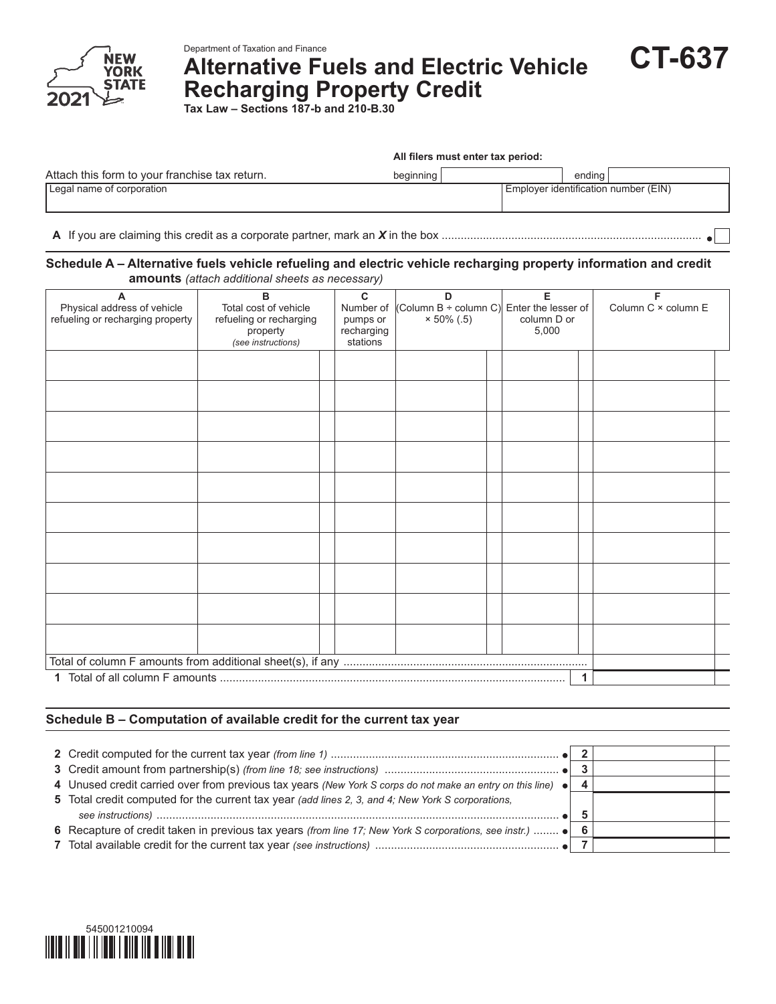

# **Alternative Fuels and Electric Vehicle Recharging Property Credit**

**Tax Law – Sections 187-b and 210-B.30**

|                                                | All filers must enter tax period: |                                      |  |  |
|------------------------------------------------|-----------------------------------|--------------------------------------|--|--|
| Attach this form to your franchise tax return. | beginning                         | endina                               |  |  |
| Legal name of corporation                      |                                   | Employer identification number (EIN) |  |  |

**A** If you are claiming this credit as a corporate partner, mark an *X* in the box ..................................................................................

## **Schedule A – Alternative fuels vehicle refueling and electric vehicle recharging property information and credit amounts** *(attach additional sheets as necessary)*

| A<br>Physical address of vehicle<br>refueling or recharging property | B<br>Total cost of vehicle<br>refueling or recharging<br>property<br>(see instructions) | C<br>D<br>(Column B ÷ column C) Enter the lesser of<br>Number of<br>$× 50\% (.5)$<br>pumps or<br>recharging<br>stations |  | Е<br>column D or<br>5,000 | Column C × column E |  |
|----------------------------------------------------------------------|-----------------------------------------------------------------------------------------|-------------------------------------------------------------------------------------------------------------------------|--|---------------------------|---------------------|--|
|                                                                      |                                                                                         |                                                                                                                         |  |                           |                     |  |
|                                                                      |                                                                                         |                                                                                                                         |  |                           |                     |  |
|                                                                      |                                                                                         |                                                                                                                         |  |                           |                     |  |
|                                                                      |                                                                                         |                                                                                                                         |  |                           |                     |  |
|                                                                      |                                                                                         |                                                                                                                         |  |                           |                     |  |
|                                                                      |                                                                                         |                                                                                                                         |  |                           |                     |  |
|                                                                      |                                                                                         |                                                                                                                         |  |                           |                     |  |
|                                                                      |                                                                                         |                                                                                                                         |  |                           |                     |  |
|                                                                      |                                                                                         |                                                                                                                         |  |                           |                     |  |
|                                                                      |                                                                                         |                                                                                                                         |  |                           |                     |  |
|                                                                      |                                                                                         |                                                                                                                         |  |                           |                     |  |
|                                                                      |                                                                                         |                                                                                                                         |  |                           |                     |  |

## **Schedule B – Computation of available credit for the current tax year**

| 4 Unused credit carried over from previous tax years (New York S corps do not make an entry on this line) $\bullet$ |  |  |
|---------------------------------------------------------------------------------------------------------------------|--|--|
| 5 Total credit computed for the current tax year (add lines 2, 3, and 4; New York S corporations,                   |  |  |
|                                                                                                                     |  |  |
| 6 Recapture of credit taken in previous tax years (from line 17; New York S corporations, see instr.)  . 6 6        |  |  |
|                                                                                                                     |  |  |